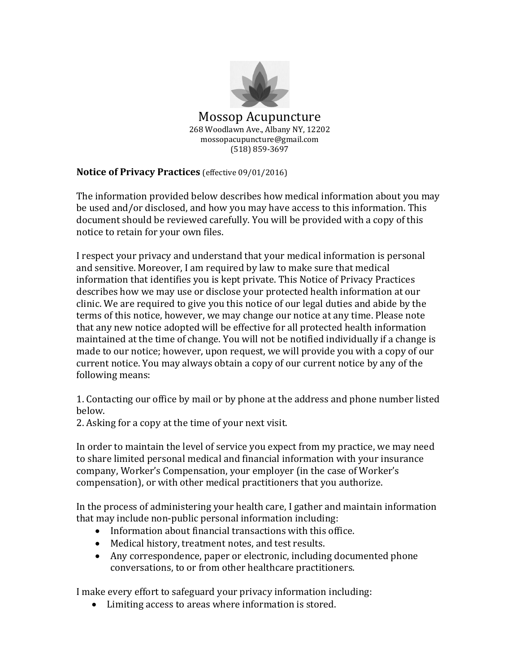

## **Notice of Privacy Practices** (effective 09/01/2016)

The information provided below describes how medical information about you may be used and/or disclosed, and how you may have access to this information. This document should be reviewed carefully. You will be provided with a copy of this notice to retain for your own files.

I respect your privacy and understand that your medical information is personal and sensitive. Moreover, I am required by law to make sure that medical information that identifies you is kept private. This Notice of Privacy Practices describes how we may use or disclose your protected health information at our clinic. We are required to give you this notice of our legal duties and abide by the terms of this notice, however, we may change our notice at any time. Please note that any new notice adopted will be effective for all protected health information maintained at the time of change. You will not be notified individually if a change is made to our notice; however, upon request, we will provide you with a copy of our current notice. You may always obtain a copy of our current notice by any of the following means:

1. Contacting our office by mail or by phone at the address and phone number listed below.

2. Asking for a copy at the time of your next visit.

In order to maintain the level of service you expect from my practice, we may need to share limited personal medical and financial information with your insurance company, Worker's Compensation, your employer (in the case of Worker's compensation), or with other medical practitioners that you authorize.

In the process of administering your health care, I gather and maintain information that may include non-public personal information including:

- Information about financial transactions with this office.
- Medical history, treatment notes, and test results.
- Any correspondence, paper or electronic, including documented phone conversations, to or from other healthcare practitioners.

I make every effort to safeguard your privacy information including:

Limiting access to areas where information is stored.